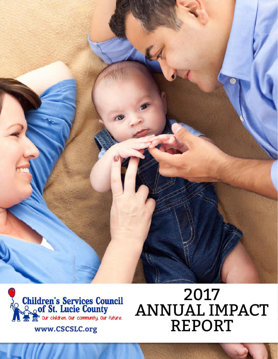



# 2017 ANNUAL IMPACT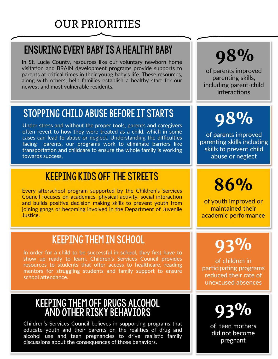#### **OUR PRIORITIES**

#### **ENSURING EVERY BABY IS A HEALTHY BABY**

In St. Lucie County, resources like our voluntary newborn home visitation and BRAIN development programs provide supports to parents at critical times in their young baby's life. These resources, along with others, help families establish a healthy start for our newest and most vulnerable residents.

## 98%

of parents improved parenting skills, including parent-child interactions

#### STOPPING CHILD ABUSE BEFORE IT STARTS

Under stress and without the proper tools, parents and caregivers often revert to how they were treated as a child, which in some cases can lead to abuse or neglect. Understanding the difficulties facing parents, our programs work to eliminate barriers like transportation and childcare to ensure the whole family is working towards success.

#### **KEEPING KIDS OFF THE STREETS**

Every afterschool program supported by the Children's Services Council focuses on academics, physical activity, social interaction and builds positive decision making skills to prevent youth from joining gangs or becoming involved in the Department of Juvenile Justice.

#### **KEEPING THEM IN SCHOOL**

In order for a child to be successful in school, they first have to show up ready to learn. Children's Services Council provides resources to students that offer access to healthcare, reading mentors for struggling students and family support to ensure school attendance.

## KEEPING THEM OFF DRUGS ALCOHOL<br>AND OTHER RISKY BEHAVIORS

Children's Services Council believes in supporting programs that educate youth and their parents on the realities of drug and alcohol use and teen pregnancies to drive realistic family discussions about the consequences of those behaviors.

## 98%

of parents improved parenting skills including skills to prevent child abuse or neglect

### 86%

of youth improved or maintained their academic performance

## 93%

of children in participating programs reduced their rate of unexcused absences



of teen mothers did not become pregnant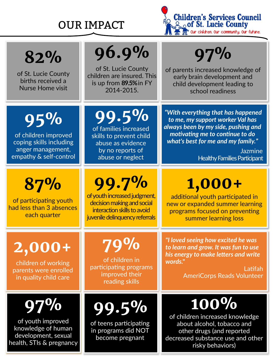#### OUR IMPACT



**82%** 

of St. Lucie County births received a Nurse Home visit

## **96.9%**

of St. Lucie County children are insured. This is up from **89.5%**in FY 2014‐2015.

of families increased skills to prevent child abuse as evidence by no reports of abuse or neglect

**99.5%** 

## **97%**

of parents increased knowledge of early brain development and child development leading to school readiness

**95%** 

of children improved coping skills including anger management, empathy & self‐control

**87%** 

of participating youth had less than 3 absences each quarter

**99.7%** 

of youth increased judgment, decision making and social interaction skills to avoid juvenile delinquency referrals

*"With everything that has happened to me, my support worker Val has always been by my side, pushing and moࢼvaࢼng me to conࢼnue to do what's best for me and my family."* 

> Jazmine Healthy Families Participant

### **1,000+**

additional youth participated in new or expanded summer learning programs focused on preventing summer learning loss

**2,000+** 

children of working parents were enrolled in quality child care

of youth improved knowledge of human development, sexual health, STIs & pregnancy

## **79%**

of children in participating programs improved their reading skills

*"I loved seeing how excited he was to learn and grow. It was fun to use his energy to make leers and write words."* 

> Latifah AmeriCorps Reads Volunteer



of teens participating in programs did NOT become pregnant

of children increased knowledge about alcohol, tobacco and other drugs (and reported decreased substance use and other risky behaviors)